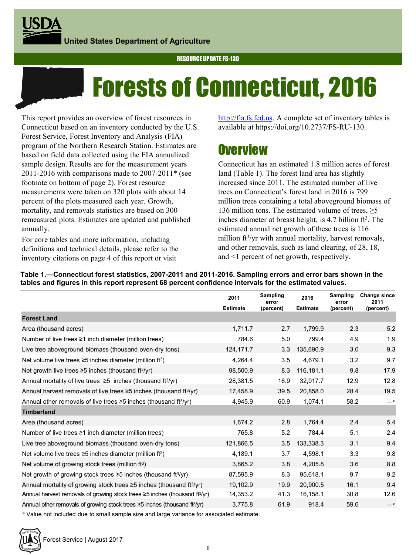#### **RESOURCE UPDATE FS-XXX** RESOURCE UPDATE FS-130

# Forests of Connecticut, 2016

This report provides an overview of forest resources in Connecticut based on an inventory conducted by the U.S. Forest Service, Forest Inventory and Analysis (FIA) program of the Northern Research Station. Estimates are based on field data collected using the FIA annualized sample design. Results are for the measurement years 2011-2016 with comparisons made to  $2007-2011*$  (see footnote on bottom of page 2). Forest resource measurements were taken on 320 plots with about 14 percent of the plots measured each year. Growth, mortality, and removals statistics are based on 300 remeasured plots. Estimates are updated and published annually.

For core tables and more information, including definitions and technical details, please refer to the inventory citations on page 4 of this report or visit

[http://fia.fs.fed.us.](http://fia.fs.fed.us/) A complete set of inventory tables is available at https://doi.org/10.2737/FS-RU-130.

## **Overview**

Connecticut has an estimated 1.8 million acres of forest land (Table 1). The forest land area has slightly increased since 2011. The estimated number of live trees on Connecticut's forest land in 2016 is 799 million trees containing a total aboveground biomass of 136 million tons. The estimated volume of trees,  $\geq$ 5 inches diameter at breast height, is  $4.7$  billion  $ft<sup>3</sup>$ . The estimated annual net growth of these trees is 116 million  $\text{ft}^3/\text{yr}$  with annual mortality, harvest removals, and other removals, such as land clearing, of 28, 18, and <1 percent of net growth, respectively.

**Table 1.—Connecticut forest statistics, 2007-2011 and 2011-2016. Sampling errors and error bars shown in the tables and figures in this report represent 68 percent confidence intervals for the estimated values.** 

|                                                                                               | 2011            | Sampling<br>error | 2016            | Sampling<br>error | Change since<br>2011 |
|-----------------------------------------------------------------------------------------------|-----------------|-------------------|-----------------|-------------------|----------------------|
|                                                                                               | <b>Estimate</b> | (percent)         | <b>Estimate</b> | (percent)         | (percent)            |
| <b>Forest Land</b>                                                                            |                 |                   |                 |                   |                      |
| Area (thousand acres)                                                                         | 1,711.7         | 2.7               | 1.799.9         | 2.3               | 5.2                  |
| Number of live trees $\geq 1$ inch diameter (million trees)                                   | 784.6           | 5.0               | 799.4           | 4.9               | 1.9                  |
| Live tree aboveground biomass (thousand oven-dry tons)                                        | 124, 171.7      | 3.3               | 135,690.9       | 3.0               | 9.3                  |
| Net volume live trees $\geq$ 5 inches diameter (million ft <sup>3</sup> )                     | 4,264.4         | 3.5               | 4,679.1         | 3.2               | 9.7                  |
| Net growth live trees $\geq$ 5 inches (thousand ft <sup>3</sup> /yr)                          | 98,500.9        | 8.3               | 116,181.1       | 9.8               | 17.9                 |
| Annual mortality of live trees $\geq$ 5 inches (thousand ft <sup>3/</sup> yr)                 | 28,381.5        | 16.9              | 32,017.7        | 12.9              | 12.8                 |
| Annual harvest removals of live trees $\geq$ 5 inches (thousand ft <sup>3/</sup> yr)          | 17,458.9        | 39.5              | 20,858.0        | 28.4              | 19.5                 |
| Annual other removals of live trees $\geq$ 5 inches (thousand ft <sup>3/</sup> yr)            | 4,945.9         | 60.9              | 1,074.1         | 58.2              | $-$ a                |
| <b>Timberland</b>                                                                             |                 |                   |                 |                   |                      |
| Area (thousand acres)                                                                         | 1.674.2         | 2.8               | 1.764.4         | 2.4               | 5.4                  |
| Number of live trees $\geq 1$ inch diameter (million trees)                                   | 765.8           | 5.2               | 784.4           | 5.1               | 2.4                  |
| Live tree aboveground biomass (thousand oven-dry tons)                                        | 121,866.5       | 3.5               | 133,338.3       | 3.1               | 9.4                  |
| Net volume live trees $\geq$ 5 inches diameter (million ft <sup>3</sup> )                     | 4,189.1         | 3.7               | 4,598.1         | 3.3               | 9.8                  |
| Net volume of growing stock trees (million ft <sup>3</sup> )                                  | 3.865.2         | 3.8               | 4.205.8         | 3.6               | 8.8                  |
| Net growth of growing stock trees $\geq$ 5 inches (thousand ft <sup>3/</sup> yr)              | 87,595.9        | 8.3               | 95,618.1        | 9.7               | 9.2                  |
| Annual mortality of growing stock trees $\geq$ 5 inches (thousand ft <sup>3/</sup> yr)        | 19,102.9        | 19.9              | 20,900.5        | 16.1              | 9.4                  |
| Annual harvest removals of growing stock trees $\geq$ 5 inches (thousand ft <sup>3/</sup> yr) | 14,353.2        | 41.3              | 16,158.1        | 30.8              | 12.6                 |
| Annual other removals of growing stock trees $\geq$ 5 inches (thousand ft <sup>3/</sup> yr)   | 3,775.8         | 61.9              | 918.4           | 59.6              | $-$ a                |

a Value not included due to small sample size and large variance for associated estimate.

Forest Service | August 2017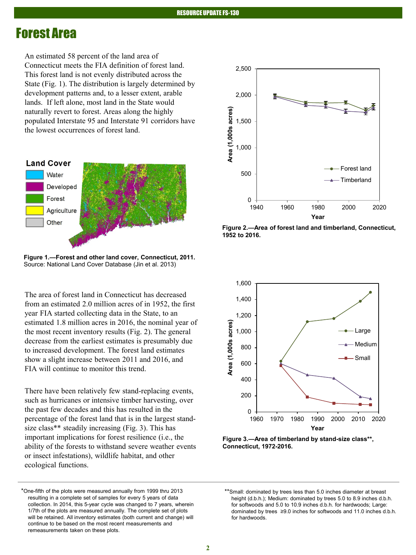## Forest Area

An estimated 58 percent of the land area of Connecticut meets the FIA definition of forest land. This forest land is not evenly distributed across the State (Fig. 1). The distribution is largely determined by development patterns and, to a lesser extent, arable lands. If left alone, most land in the State would naturally revert to forest. Areas along the highly populated Interstate 95 and Interstate 91 corridors have the lowest occurrences of forest land.



**Figure 1.—Forest and other land cover, Connecticut, 2011.**  Source: National Land Cover Database (Jin et al. 2013)

The area of forest land in Connecticut has decreased from an estimated 2.0 million acres of in 1952, the first year FIA started collecting data in the State, to an estimated 1.8 million acres in 2016, the nominal year of the most recent inventory results (Fig. 2). The general decrease from the earliest estimates is presumably due to increased development. The forest land estimates show a slight increase between 2011 and 2016, and FIA will continue to monitor this trend.

There have been relatively few stand-replacing events, such as hurricanes or intensive timber harvesting, over the past few decades and this has resulted in the percentage of the forest land that is in the largest standsize class\*\* steadily increasing (Fig. 3). This has important implications for forest resilience (i.e., the ability of the forests to withstand severe weather events or insect infestations), wildlife habitat, and other ecological functions.



**Figure 2.—Area of forest land and timberland, Connecticut, 1952 to 2016.** 





<sup>\*</sup>One-fifth of the plots were measured annually from 1999 thru 2013 resulting in a complete set of samples for every 5 years of data collection. In 2014, this 5-year cycle was changed to 7 years, wherein 1/7th of the plots are measured annually. The complete set of plots will be retained. All inventory estimates (both current and change) will continue to be based on the most recent measurements and remeasurements taken on these plots.

<sup>\*\*</sup>Small: dominated by trees less than 5.0 inches diameter at breast height (d.b.h.); Medium: dominated by trees 5.0 to 8.9 inches d.b.h. for softwoods and 5.0 to 10.9 inches d.b.h. for hardwoods; Large: dominated by trees ≥9.0 inches for softwoods and 11.0 inches d.b.h. for hardwoods.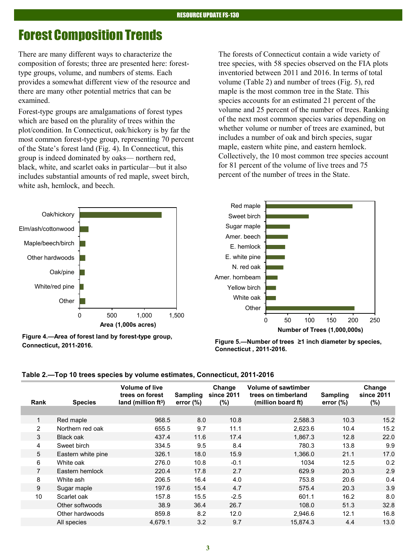## Forest Composition Trends

There are many different ways to characterize the composition of forests; three are presented here: foresttype groups, volume, and numbers of stems. Each provides a somewhat different view of the resource and there are many other potential metrics that can be examined.

Forest-type groups are amalgamations of forest types which are based on the plurality of trees within the plot/condition. In Connecticut, oak/hickory is by far the most common forest-type group, representing 70 percent of the State's forest land (Fig. 4). In Connecticut, this group is indeed dominated by oaks— northern red, black, white, and scarlet oaks in particular—but it also includes substantial amounts of red maple, sweet birch, white ash, hemlock, and beech.

The forests of Connecticut contain a wide variety of tree species, with 58 species observed on the FIA plots inventoried between 2011 and 2016. In terms of total volume (Table 2) and number of trees (Fig. 5), red maple is the most common tree in the State. This species accounts for an estimated 21 percent of the volume and 25 percent of the number of trees. Ranking of the next most common species varies depending on whether volume or number of trees are examined, but includes a number of oak and birch species, sugar maple, eastern white pine, and eastern hemlock. Collectively, the 10 most common tree species account for 81 percent of the volume of live trees and 75 percent of the number of trees in the State.



**Figure 4.—Area of forest land by forest-type group,** 





| Rank           | <b>Species</b>     | <b>Volume of live</b><br>trees on forest<br>land (million $ft^3$ ) | <b>Sampling</b><br>error $(\%)$ | Change<br>since 2011<br>$(\%)$ | <b>Volume of sawtimber</b><br>trees on timberland<br>(million board ft) | Sampling<br>error $(\%)$ | Change<br>since 2011<br>(%) |
|----------------|--------------------|--------------------------------------------------------------------|---------------------------------|--------------------------------|-------------------------------------------------------------------------|--------------------------|-----------------------------|
|                |                    |                                                                    |                                 |                                |                                                                         |                          |                             |
| 1              | Red maple          | 968.5                                                              | 8.0                             | 10.8                           | 2.588.3                                                                 | 10.3                     | 15.2                        |
| 2              | Northern red oak   | 655.5                                                              | 9.7                             | 11.1                           | 2,623.6                                                                 | 10.4                     | 15.2                        |
| 3              | Black oak          | 437.4                                                              | 11.6                            | 17.4                           | 1,867.3                                                                 | 12.8                     | 22.0                        |
| 4              | Sweet birch        | 334.5                                                              | 9.5                             | 8.4                            | 780.3                                                                   | 13.8                     | 9.9                         |
| 5              | Eastern white pine | 326.1                                                              | 18.0                            | 15.9                           | 1.366.0                                                                 | 21.1                     | 17.0                        |
| 6              | White oak          | 276.0                                                              | 10.8                            | $-0.1$                         | 1034                                                                    | 12.5                     | 0.2                         |
| $\overline{7}$ | Eastern hemlock    | 220.4                                                              | 17.8                            | 2.7                            | 629.9                                                                   | 20.3                     | 2.9                         |
| 8              | White ash          | 206.5                                                              | 16.4                            | 4.0                            | 753.8                                                                   | 20.6                     | 0.4                         |
| 9              | Sugar maple        | 197.6                                                              | 15.4                            | 4.7                            | 575.4                                                                   | 20.3                     | 3.9                         |
| 10             | Scarlet oak        | 157.8                                                              | 15.5                            | $-2.5$                         | 601.1                                                                   | 16.2                     | 8.0                         |
|                | Other softwoods    | 38.9                                                               | 36.4                            | 26.7                           | 108.0                                                                   | 51.3                     | 32.8                        |
|                | Other hardwoods    | 859.8                                                              | 8.2                             | 12.0                           | 2,946.6                                                                 | 12.1                     | 16.8                        |
|                | All species        | 4,679.1                                                            | 3.2                             | 9.7                            | 15,874.3                                                                | 4.4                      | 13.0                        |

**Table 2.—Top 10 trees species by volume estimates, Connecticut, 2011-2016**